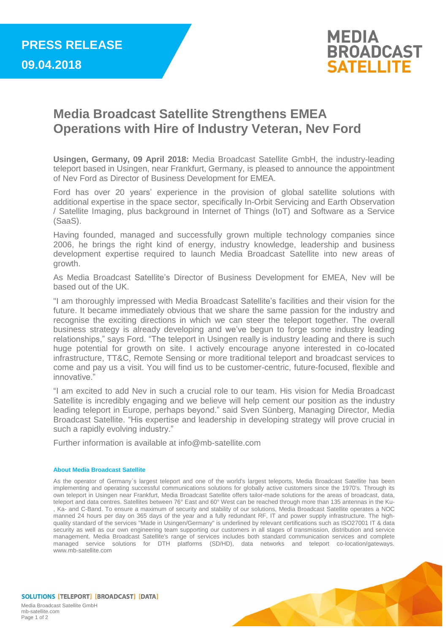

## **Media Broadcast Satellite Strengthens EMEA Operations with Hire of Industry Veteran, Nev Ford**

**Usingen, Germany, 09 April 2018:** Media Broadcast Satellite GmbH, the industry-leading teleport based in Usingen, near Frankfurt, Germany, is pleased to announce the appointment of Nev Ford as Director of Business Development for EMEA.

Ford has over 20 years' experience in the provision of global satellite solutions with additional expertise in the space sector, specifically In-Orbit Servicing and Earth Observation / Satellite Imaging, plus background in Internet of Things (IoT) and Software as a Service (SaaS).

Having founded, managed and successfully grown multiple technology companies since 2006, he brings the right kind of energy, industry knowledge, leadership and business development expertise required to launch Media Broadcast Satellite into new areas of growth.

As Media Broadcast Satellite's Director of Business Development for EMEA, Nev will be based out of the UK.

"I am thoroughly impressed with Media Broadcast Satellite's facilities and their vision for the future. It became immediately obvious that we share the same passion for the industry and recognise the exciting directions in which we can steer the teleport together. The overall business strategy is already developing and we've begun to forge some industry leading relationships," says Ford. "The teleport in Usingen really is industry leading and there is such huge potential for growth on site. I actively encourage anyone interested in co-located infrastructure, TT&C, Remote Sensing or more traditional teleport and broadcast services to come and pay us a visit. You will find us to be customer-centric, future-focused, flexible and innovative<sup>3</sup>

"I am excited to add Nev in such a crucial role to our team. His vision for Media Broadcast Satellite is incredibly engaging and we believe will help cement our position as the industry leading teleport in Europe, perhaps beyond." said Sven Sünberg, Managing Director, Media Broadcast Satellite. "His expertise and leadership in developing strategy will prove crucial in such a rapidly evolving industry."

Further information is available at info@mb-satellite.com

## **About Media Broadcast Satellite**

As the operator of Germany`s largest teleport and one of the world's largest teleports, Media Broadcast Satellite has been implementing and operating successful communications solutions for globally active customers since the 1970's. Through its own teleport in Usingen near Frankfurt, Media Broadcast Satellite offers tailor-made solutions for the areas of broadcast, data, teleport and data centres. Satellites between 76° East and 60° West can be reached through more than 135 antennas in the Ku- , Ka- and C-Band. To ensure a maximum of security and stability of our solutions, Media Broadcast Satellite operates a NOC manned 24 hours per day on 365 days of the year and a fully redundant RF, IT and power supply infrastructure. The highquality standard of the services "Made in Usingen/Germany" is underlined by relevant certifications such as ISO27001 IT & data security as well as our own engineering team supporting our customers in all stages of transmission, distribution and service management. Media Broadcast Satellite's range of services includes both standard communication services and complete managed service solutions for DTH platforms (SD/HD), data networks and teleport co-location/gateways. www.mb-satellite.com



SOLUTIONS [TELEPORT] [BROADCAST] [DATA] Media Broadcast Satellite GmbH mb-satellite.com Page 1 of 2